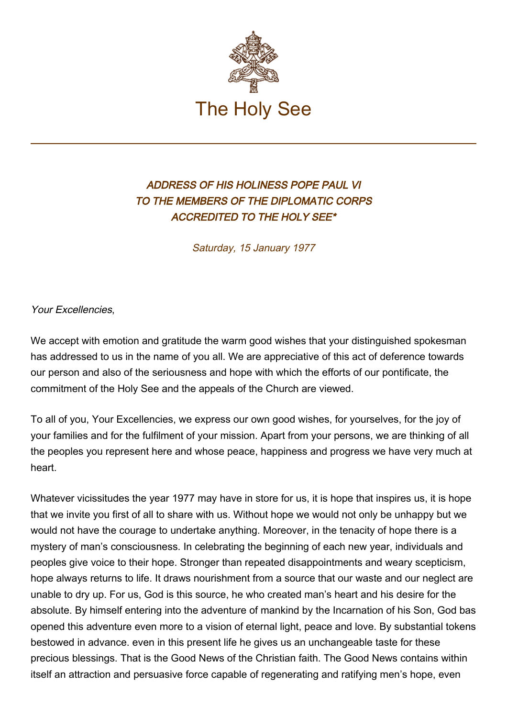

## ADDRESS OF HIS HOLINESS POPE PAUL VI TO THE MEMBERS OF THE DIPLOMATIC CORPS ACCREDITED TO THE HOLY SEE\*

Saturday, 15 January 1977

Your Excellencies,

We accept with emotion and gratitude the warm good wishes that your distinguished spokesman has addressed to us in the name of you all. We are appreciative of this act of deference towards our person and also of the seriousness and hope with which the efforts of our pontificate, the commitment of the Holy See and the appeals of the Church are viewed.

To all of you, Your Excellencies, we express our own good wishes, for yourselves, for the joy of your families and for the fulfilment of your mission. Apart from your persons, we are thinking of all the peoples you represent here and whose peace, happiness and progress we have very much at heart.

Whatever vicissitudes the year 1977 may have in store for us, it is hope that inspires us, it is hope that we invite you first of all to share with us. Without hope we would not only be unhappy but we would not have the courage to undertake anything. Moreover, in the tenacity of hope there is a mystery of man's consciousness. In celebrating the beginning of each new year, individuals and peoples give voice to their hope. Stronger than repeated disappointments and weary scepticism, hope always returns to life. It draws nourishment from a source that our waste and our neglect are unable to dry up. For us, God is this source, he who created man's heart and his desire for the absolute. By himself entering into the adventure of mankind by the Incarnation of his Son, God bas opened this adventure even more to a vision of eternal light, peace and love. By substantial tokens bestowed in advance. even in this present life he gives us an unchangeable taste for these precious blessings. That is the Good News of the Christian faith. The Good News contains within itself an attraction and persuasive force capable of regenerating and ratifying men's hope, even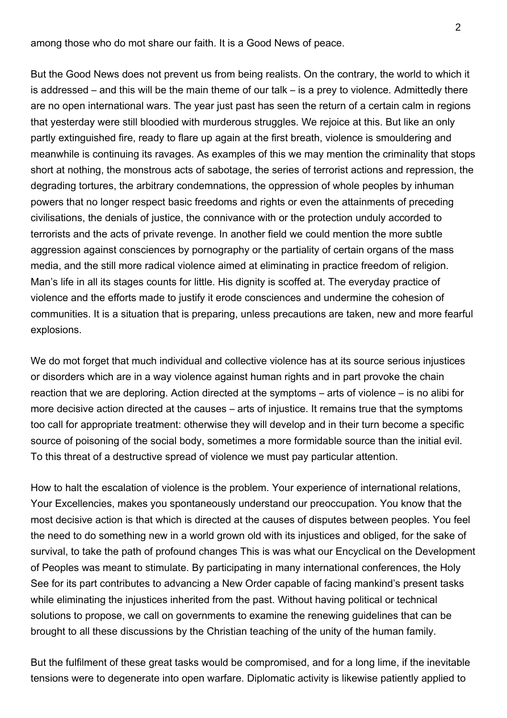among those who do mot share our faith. It is a Good News of peace.

But the Good News does not prevent us from being realists. On the contrary, the world to which it is addressed – and this will be the main theme of our talk – is a prey to violence. Admittedly there are no open international wars. The year just past has seen the return of a certain calm in regions that yesterday were still bloodied with murderous struggles. We rejoice at this. But like an only partly extinguished fire, ready to flare up again at the first breath, violence is smouldering and meanwhile is continuing its ravages. As examples of this we may mention the criminality that stops short at nothing, the monstrous acts of sabotage, the series of terrorist actions and repression, the degrading tortures, the arbitrary condemnations, the oppression of whole peoples by inhuman powers that no longer respect basic freedoms and rights or even the attainments of preceding civilisations, the denials of justice, the connivance with or the protection unduly accorded to terrorists and the acts of private revenge. In another field we could mention the more subtle aggression against consciences by pornography or the partiality of certain organs of the mass media, and the still more radical violence aimed at eliminating in practice freedom of religion. Man's life in all its stages counts for little. His dignity is scoffed at. The everyday practice of violence and the efforts made to justify it erode consciences and undermine the cohesion of communities. It is a situation that is preparing, unless precautions are taken, new and more fearful explosions.

We do mot forget that much individual and collective violence has at its source serious injustices or disorders which are in a way violence against human rights and in part provoke the chain reaction that we are deploring. Action directed at the symptoms – arts of violence – is no alibi for more decisive action directed at the causes – arts of injustice. It remains true that the symptoms too call for appropriate treatment: otherwise they will develop and in their turn become a specific source of poisoning of the social body, sometimes a more formidable source than the initial evil. To this threat of a destructive spread of violence we must pay particular attention.

How to halt the escalation of violence is the problem. Your experience of international relations, Your Excellencies, makes you spontaneously understand our preoccupation. You know that the most decisive action is that which is directed at the causes of disputes between peoples. You feel the need to do something new in a world grown old with its injustices and obliged, for the sake of survival, to take the path of profound changes This is was what our Encyclical on the Development of Peoples was meant to stimulate. By participating in many international conferences, the Holy See for its part contributes to advancing a New Order capable of facing mankind's present tasks while eliminating the injustices inherited from the past. Without having political or technical solutions to propose, we call on governments to examine the renewing guidelines that can be brought to all these discussions by the Christian teaching of the unity of the human family.

But the fulfilment of these great tasks would be compromised, and for a long lime, if the inevitable tensions were to degenerate into open warfare. Diplomatic activity is likewise patiently applied to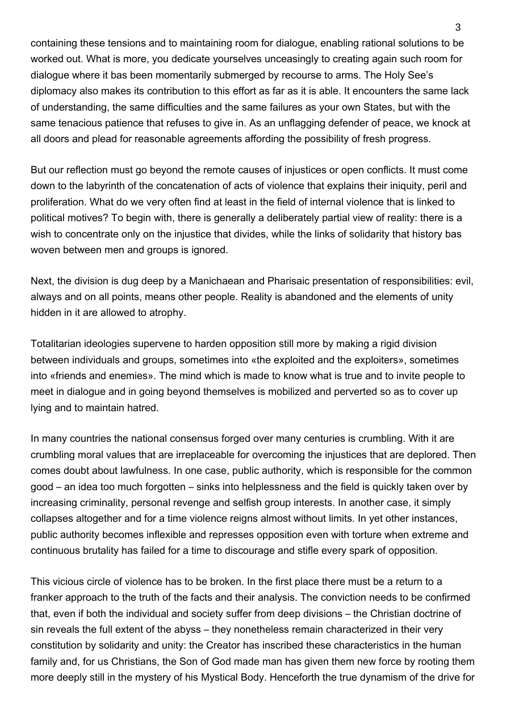containing these tensions and to maintaining room for dialogue, enabling rational solutions to be worked out. What is more, you dedicate yourselves unceasingly to creating again such room for dialogue where it bas been momentarily submerged by recourse to arms. The Holy See's diplomacy also makes its contribution to this effort as far as it is able. It encounters the same lack of understanding, the same difficulties and the same failures as your own States, but with the same tenacious patience that refuses to give in. As an unflagging defender of peace, we knock at all doors and plead for reasonable agreements affording the possibility of fresh progress.

But our reflection must go beyond the remote causes of injustices or open conflicts. It must come down to the labyrinth of the concatenation of acts of violence that explains their iniquity, peril and proliferation. What do we very often find at least in the field of internal violence that is linked to political motives? To begin with, there is generally a deliberately partial view of reality: there is a wish to concentrate only on the injustice that divides, while the links of solidarity that history bas woven between men and groups is ignored.

Next, the division is dug deep by a Manichaean and Pharisaic presentation of responsibilities: evil, always and on all points, means other people. Reality is abandoned and the elements of unity hidden in it are allowed to atrophy.

Totalitarian ideologies supervene to harden opposition still more by making a rigid division between individuals and groups, sometimes into «the exploited and the exploiters», sometimes into «friends and enemies». The mind which is made to know what is true and to invite people to meet in dialogue and in going beyond themselves is mobilized and perverted so as to cover up lying and to maintain hatred.

In many countries the national consensus forged over many centuries is crumbling. With it are crumbling moral values that are irreplaceable for overcoming the injustices that are deplored. Then comes doubt about lawfulness. In one case, public authority, which is responsible for the common good – an idea too much forgotten – sinks into helplessness and the field is quickly taken over by increasing criminality, personal revenge and selfish group interests. In another case, it simply collapses altogether and for a time violence reigns almost without limits. In yet other instances, public authority becomes inflexible and represses opposition even with torture when extreme and continuous brutality has failed for a time to discourage and stifle every spark of opposition.

This vicious circle of violence has to be broken. In the first place there must be a return to a franker approach to the truth of the facts and their analysis. The conviction needs to be confirmed that, even if both the individual and society suffer from deep divisions – the Christian doctrine of sin reveals the full extent of the abyss – they nonetheless remain characterized in their very constitution by solidarity and unity: the Creator has inscribed these characteristics in the human family and, for us Christians, the Son of God made man has given them new force by rooting them more deeply still in the mystery of his Mystical Body. Henceforth the true dynamism of the drive for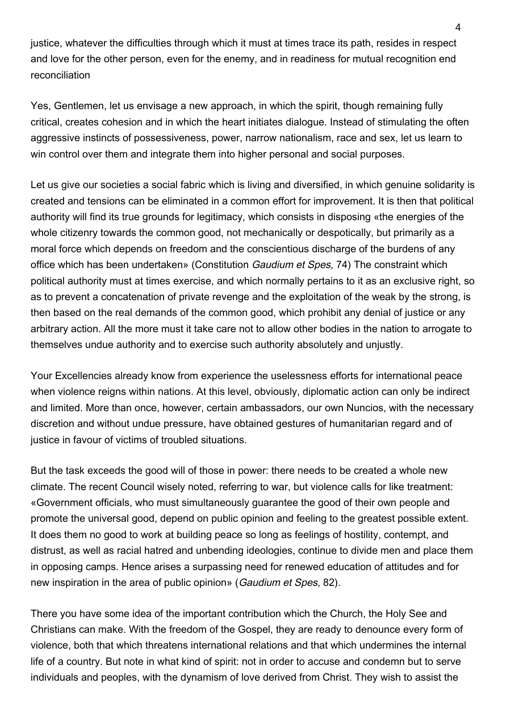justice, whatever the difficulties through which it must at times trace its path, resides in respect and love for the other person, even for the enemy, and in readiness for mutual recognition end reconciliation

Yes, Gentlemen, let us envisage a new approach, in which the spirit, though remaining fully critical, creates cohesion and in which the heart initiates dialogue. Instead of stimulating the often aggressive instincts of possessiveness, power, narrow nationalism, race and sex, let us learn to win control over them and integrate them into higher personal and social purposes.

Let us give our societies a social fabric which is living and diversified, in which genuine solidarity is created and tensions can be eliminated in a common effort for improvement. It is then that political authority will find its true grounds for legitimacy, which consists in disposing «the energies of the whole citizenry towards the common good, not mechanically or despotically, but primarily as a moral force which depends on freedom and the conscientious discharge of the burdens of any office which has been undertaken» (Constitution Gaudium et Spes, 74) The constraint which political authority must at times exercise, and which normally pertains to it as an exclusive right, so as to prevent a concatenation of private revenge and the exploitation of the weak by the strong, is then based on the real demands of the common good, which prohibit any denial of justice or any arbitrary action. All the more must it take care not to allow other bodies in the nation to arrogate to themselves undue authority and to exercise such authority absolutely and unjustly.

Your Excellencies already know from experience the uselessness efforts for international peace when violence reigns within nations. At this level, obviously, diplomatic action can only be indirect and limited. More than once, however, certain ambassadors, our own Nuncios, with the necessary discretion and without undue pressure, have obtained gestures of humanitarian regard and of justice in favour of victims of troubled situations.

But the task exceeds the good will of those in power: there needs to be created a whole new climate. The recent Council wisely noted, referring to war, but violence calls for like treatment: «Government officials, who must simultaneously guarantee the good of their own people and promote the universal good, depend on public opinion and feeling to the greatest possible extent. It does them no good to work at building peace so long as feelings of hostility, contempt, and distrust, as well as racial hatred and unbending ideologies, continue to divide men and place them in opposing camps. Hence arises a surpassing need for renewed education of attitudes and for new inspiration in the area of public opinion» (Gaudium et Spes, 82).

There you have some idea of the important contribution which the Church, the Holy See and Christians can make. With the freedom of the Gospel, they are ready to denounce every form of violence, both that which threatens international relations and that which undermines the internal life of a country. But note in what kind of spirit: not in order to accuse and condemn but to serve individuals and peoples, with the dynamism of love derived from Christ. They wish to assist the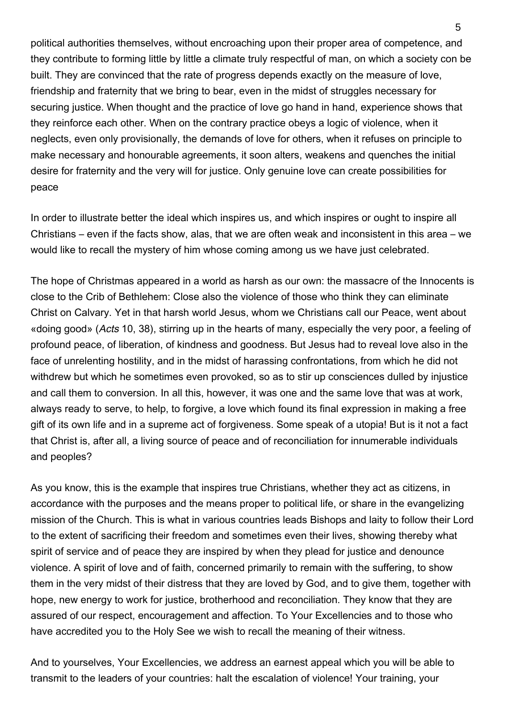political authorities themselves, without encroaching upon their proper area of competence, and they contribute to forming little by little a climate truly respectful of man, on which a society con be built. They are convinced that the rate of progress depends exactly on the measure of love, friendship and fraternity that we bring to bear, even in the midst of struggles necessary for securing justice. When thought and the practice of love go hand in hand, experience shows that they reinforce each other. When on the contrary practice obeys a logic of violence, when it neglects, even only provisionally, the demands of love for others, when it refuses on principle to make necessary and honourable agreements, it soon alters, weakens and quenches the initial desire for fraternity and the very will for justice. Only genuine love can create possibilities for peace

In order to illustrate better the ideal which inspires us, and which inspires or ought to inspire all Christians – even if the facts show, alas, that we are often weak and inconsistent in this area – we would like to recall the mystery of him whose coming among us we have just celebrated.

The hope of Christmas appeared in a world as harsh as our own: the massacre of the Innocents is close to the Crib of Bethlehem: Close also the violence of those who think they can eliminate Christ on Calvary. Yet in that harsh world Jesus, whom we Christians call our Peace, went about «doing good» (Acts 10, 38), stirring up in the hearts of many, especially the very poor, a feeling of profound peace, of liberation, of kindness and goodness. But Jesus had to reveal love also in the face of unrelenting hostility, and in the midst of harassing confrontations, from which he did not withdrew but which he sometimes even provoked, so as to stir up consciences dulled by injustice and call them to conversion. In all this, however, it was one and the same love that was at work, always ready to serve, to help, to forgive, a love which found its final expression in making a free gift of its own life and in a supreme act of forgiveness. Some speak of a utopia! But is it not a fact that Christ is, after all, a living source of peace and of reconciliation for innumerable individuals and peoples?

As you know, this is the example that inspires true Christians, whether they act as citizens, in accordance with the purposes and the means proper to political life, or share in the evangelizing mission of the Church. This is what in various countries leads Bishops and laity to follow their Lord to the extent of sacrificing their freedom and sometimes even their lives, showing thereby what spirit of service and of peace they are inspired by when they plead for justice and denounce violence. A spirit of love and of faith, concerned primarily to remain with the suffering, to show them in the very midst of their distress that they are loved by God, and to give them, together with hope, new energy to work for justice, brotherhood and reconciliation. They know that they are assured of our respect, encouragement and affection. To Your Excellencies and to those who have accredited you to the Holy See we wish to recall the meaning of their witness.

And to yourselves, Your Excellencies, we address an earnest appeal which you will be able to transmit to the leaders of your countries: halt the escalation of violence! Your training, your